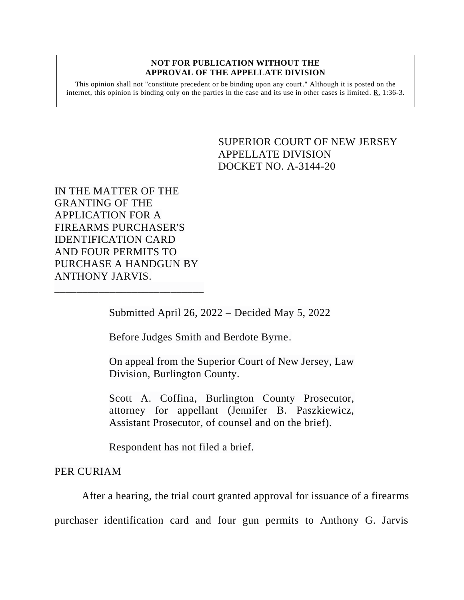#### **NOT FOR PUBLICATION WITHOUT THE APPROVAL OF THE APPELLATE DIVISION**

This opinion shall not "constitute precedent or be binding upon any court." Although it is posted on the internet, this opinion is binding only on the parties in the case and its use in other cases is limited. R. 1:36-3.

# <span id="page-0-0"></span>SUPERIOR COURT OF NEW JERSEY APPELLATE DIVISION DOCKET NO. A-3144-20

IN THE MATTER OF THE GRANTING OF THE APPLICATION FOR A FIREARMS PURCHASER'S IDENTIFICATION CARD AND FOUR PERMITS TO PURCHASE A HANDGUN BY ANTHONY JARVIS.

\_\_\_\_\_\_\_\_\_\_\_\_\_\_\_\_\_\_\_\_\_\_\_\_\_\_\_

Submitted April 26, 2022 – Decided May 5, 2022

Before Judges Smith and Berdote Byrne.

On appeal from the Superior Court of New Jersey, Law Division, Burlington County.

Scott A. Coffina, Burlington County Prosecutor, attorney for appellant (Jennifer B. Paszkiewicz, Assistant Prosecutor, of counsel and on the brief).

Respondent has not filed a brief.

PER CURIAM

After a hearing, the trial court granted approval for issuance of a firearms purchaser identification card and four gun permits to Anthony G. Jarvis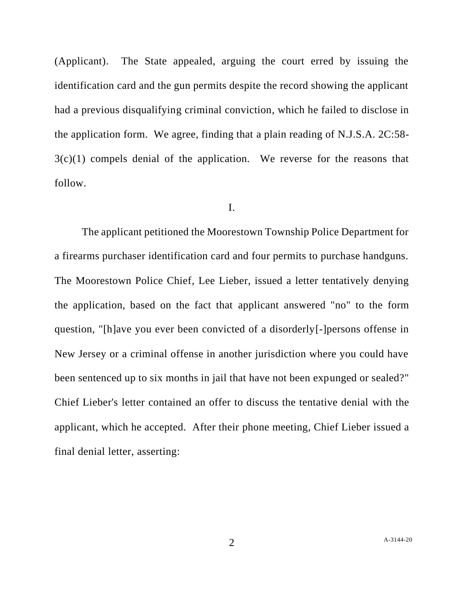(Applicant). The State appealed, arguing the court erred by issuing the identification card and the gun permits despite the record showing the applicant had a previous disqualifying criminal conviction, which he failed to disclose in the application form. We agree, finding that a plain reading of N.J.S.A. 2C:58-  $3(c)(1)$  compels denial of the application. We reverse for the reasons that follow.

### I.

The applicant petitioned the Moorestown Township Police Department for a firearms purchaser identification card and four permits to purchase handguns. The Moorestown Police Chief, Lee Lieber, issued a letter tentatively denying the application, based on the fact that applicant answered "no" to the form question, "[h]ave you ever been convicted of a disorderly[-]persons offense in New Jersey or a criminal offense in another jurisdiction where you could have been sentenced up to six months in jail that have not been expunged or sealed?" Chief Lieber's letter contained an offer to discuss the tentative denial with the applicant, which he accepted. After their phone meeting, Chief Lieber issued a final denial letter, asserting: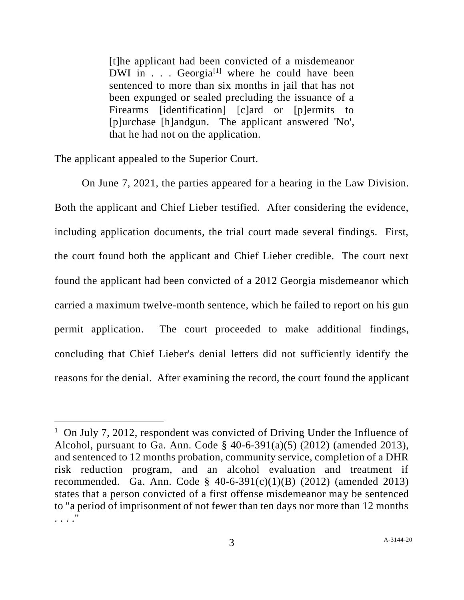[t]he applicant had been convicted of a misdemeanor DWI in  $\ldots$  Georgia<sup>[1]</sup> where he could have been sentenced to more than six months in jail that has not been expunged or sealed precluding the issuance of a Firearms [identification] [c]ard or [p]ermits to [p]urchase [h]andgun. The applicant answered 'No', that he had not on the application.

The applicant appealed to the Superior Court.

On June 7, 2021, the parties appeared for a hearing in the Law Division. Both the applicant and Chief Lieber testified. After considering the evidence, including application documents, the trial court made several findings. First, the court found both the applicant and Chief Lieber credible. The court next found the applicant had been convicted of a 2012 Georgia misdemeanor which carried a maximum twelve-month sentence, which he failed to report on his gun permit application. The court proceeded to make additional findings, concluding that Chief Lieber's denial letters did not sufficiently identify the reasons for the denial. After examining the record, the court found the applicant

<sup>&</sup>lt;sup>1</sup> On July 7, 2012, respondent was convicted of Driving Under the Influence of Alcohol, pursuant to Ga. Ann. Code § 40-6-391(a)(5) (2012) (amended 2013), and sentenced to 12 months probation, community service, completion of a DHR risk reduction program, and an alcohol evaluation and treatment if recommended. Ga. Ann. Code  $\S$  40-6-391(c)(1)(B) (2012) (amended 2013) states that a person convicted of a first offense misdemeanor may be sentenced to "a period of imprisonment of not fewer than ten days nor more than 12 months . . . ."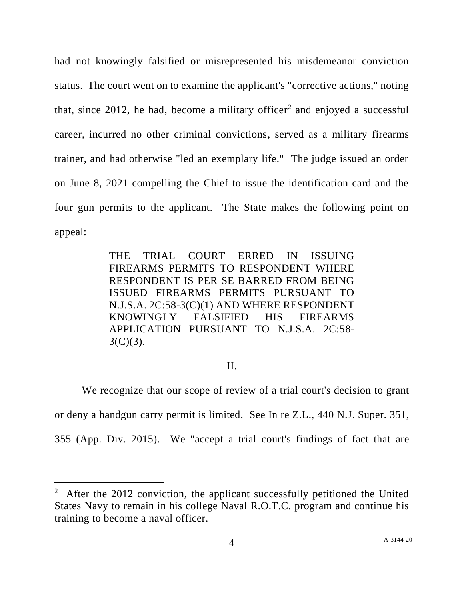had not knowingly falsified or misrepresented his misdemeanor conviction status. The court went on to examine the applicant's "corrective actions," noting that, since 2012, he had, become a military officer<sup>2</sup> and enjoyed a successful career, incurred no other criminal convictions, served as a military firearms trainer, and had otherwise "led an exemplary life." The judge issued an order on June 8, 2021 compelling the Chief to issue the identification card and the four gun permits to the applicant. The State makes the following point on appeal:

> THE TRIAL COURT ERRED IN ISSUING FIREARMS PERMITS TO RESPONDENT WHERE RESPONDENT IS PER SE BARRED FROM BEING ISSUED FIREARMS PERMITS PURSUANT TO N.J.S.A. 2C:58-3(C)(1) AND WHERE RESPONDENT KNOWINGLY FALSIFIED HIS FIREARMS APPLICATION PURSUANT TO N.J.S.A. 2C:58-  $3(C)(3)$ .

## II.

We recognize that our scope of review of a trial court's decision to grant or deny a handgun carry permit is limited. See In re Z.L., 440 N.J. Super. 351, 355 (App. Div. 2015). We "accept a trial court's findings of fact that are

<sup>&</sup>lt;sup>2</sup> After the 2012 conviction, the applicant successfully petitioned the United States Navy to remain in his college Naval R.O.T.C. program and continue his training to become a naval officer.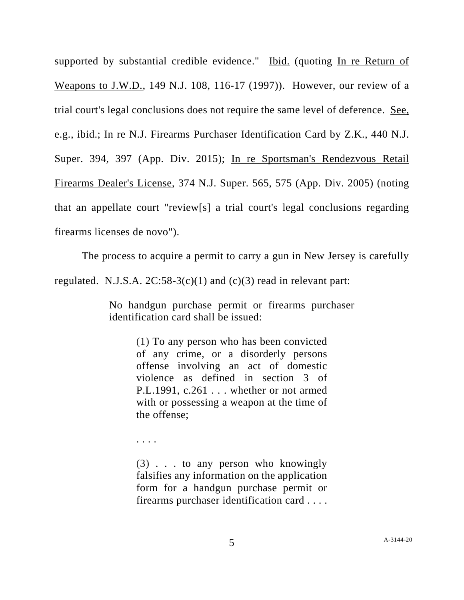supported by substantial credible evidence." Ibid. (quoting In re Return of Weapons to J.W.D., 149 N.J. 108, 116-17 (1997)). However, our review of a trial court's legal conclusions does not require the same level of deference. See, e.g., ibid.; In re N.J. Firearms Purchaser Identification Card by Z.K., 440 N.J. Super. 394, 397 (App. Div. 2015); In re Sportsman's Rendezvous Retail Firearms Dealer's License, 374 N.J. Super. 565, 575 (App. Div. 2005) (noting that an appellate court "review[s] a trial court's legal conclusions regarding firearms licenses de novo").

The process to acquire a permit to carry a gun in New Jersey is carefully

regulated. N.J.S.A.  $2C:58-3(c)(1)$  and  $(c)(3)$  read in relevant part:

No handgun purchase permit or firearms purchaser identification card shall be issued:

> (1) To any person who has been convicted of any crime, or a disorderly persons offense involving an act of domestic violence as defined in section 3 of P.L.1991, c.261 . . . whether or not armed with or possessing a weapon at the time of the offense;

. . . .

(3) . . . to any person who knowingly falsifies any information on the application form for a handgun purchase permit or firearms purchaser identification card . . . .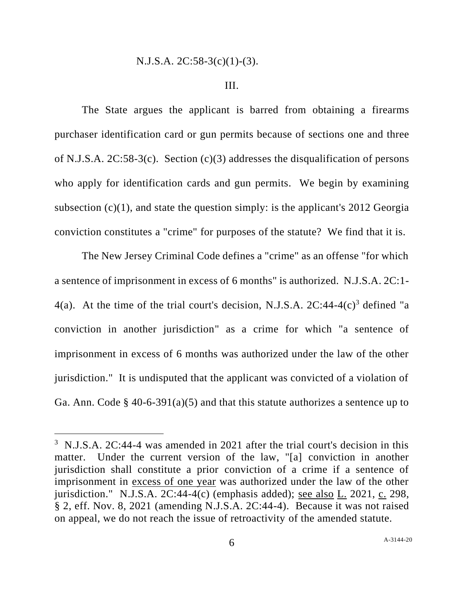### N.J.S.A. 2C:58-3(c)(1)-(3).

### III.

The State argues the applicant is barred from obtaining a firearms purchaser identification card or gun permits because of sections one and three of N.J.S.A. 2C:58-3(c). Section (c)(3) addresses the disqualification of persons who apply for identification cards and gun permits. We begin by examining subsection  $(c)(1)$ , and state the question simply: is the applicant's 2012 Georgia conviction constitutes a "crime" for purposes of the statute? We find that it is.

The New Jersey Criminal Code defines a "crime" as an offense "for which a sentence of imprisonment in excess of 6 months" is authorized. N.J.S.A. 2C:1- 4(a). At the time of the trial court's decision, N.J.S.A.  $2C:44-4(c)^3$  defined "a conviction in another jurisdiction" as a crime for which "a sentence of imprisonment in excess of 6 months was authorized under the law of the other jurisdiction." It is undisputed that the applicant was convicted of a violation of Ga. Ann. Code  $\S$  40-6-391(a)(5) and that this statute authorizes a sentence up to

 $3$  N.J.S.A. 2C:44-4 was amended in 2021 after the trial court's decision in this matter. Under the current version of the law, "[a] conviction in another jurisdiction shall constitute a prior conviction of a crime if a sentence of imprisonment in excess of one year was authorized under the law of the other jurisdiction." N.J.S.A. 2C:44-4(c) (emphasis added); see also L. 2021, c. 298, § 2, eff. Nov. 8, 2021 (amending N.J.S.A. 2C:44-4). Because it was not raised on appeal, we do not reach the issue of retroactivity of the amended statute.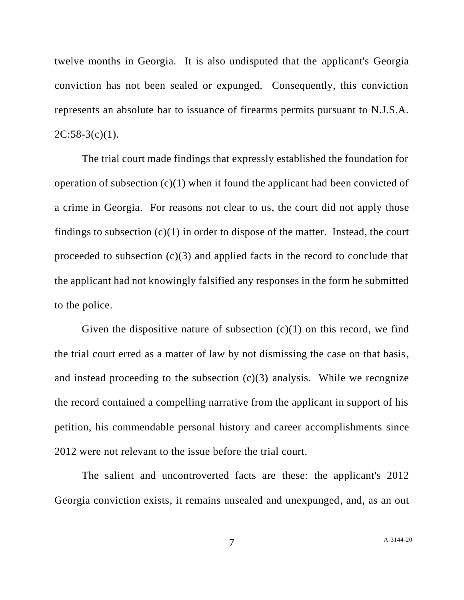twelve months in Georgia. It is also undisputed that the applicant's Georgia conviction has not been sealed or expunged. Consequently, this conviction represents an absolute bar to issuance of firearms permits pursuant to N.J.S.A.  $2C:58-3(c)(1)$ .

The trial court made findings that expressly established the foundation for operation of subsection  $(c)(1)$  when it found the applicant had been convicted of a crime in Georgia. For reasons not clear to us, the court did not apply those findings to subsection  $(c)(1)$  in order to dispose of the matter. Instead, the court proceeded to subsection  $(c)(3)$  and applied facts in the record to conclude that the applicant had not knowingly falsified any responses in the form he submitted to the police.

Given the dispositive nature of subsection  $(c)(1)$  on this record, we find the trial court erred as a matter of law by not dismissing the case on that basis, and instead proceeding to the subsection  $(c)(3)$  analysis. While we recognize the record contained a compelling narrative from the applicant in support of his petition, his commendable personal history and career accomplishments since 2012 were not relevant to the issue before the trial court.

The salient and uncontroverted facts are these: the applicant's 2012 Georgia conviction exists, it remains unsealed and unexpunged, and, as an out